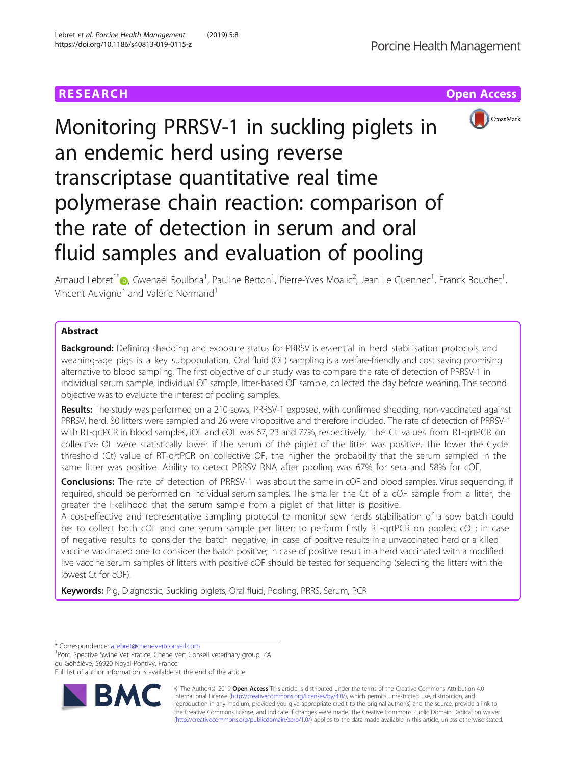# **RESEARCH CHE Open Access**



# Monitoring PRRSV-1 in suckling piglets in an endemic herd using reverse transcriptase quantitative real time polymerase chain reaction: comparison of the rate of detection in serum and oral fluid samples and evaluation of pooling

Arnaud Lebret<sup>1\*</sup>®, Gwenaël Boulbria<sup>1</sup>, Pauline Berton<sup>1</sup>, Pierre-Yves Moalic<sup>2</sup>, Jean Le Guennec<sup>1</sup>, Franck Bouchet<sup>1</sup> , Vincent Auvigne<sup>3</sup> and Valérie Normand<sup>1</sup>

# **Abstract**

**Background:** Defining shedding and exposure status for PRRSV is essential in herd stabilisation protocols and weaning-age pigs is a key subpopulation. Oral fluid (OF) sampling is a welfare-friendly and cost saving promising alternative to blood sampling. The first objective of our study was to compare the rate of detection of PRRSV-1 in individual serum sample, individual OF sample, litter-based OF sample, collected the day before weaning. The second objective was to evaluate the interest of pooling samples.

Results: The study was performed on a 210-sows, PRRSV-1 exposed, with confirmed shedding, non-vaccinated against PRRSV, herd. 80 litters were sampled and 26 were viropositive and therefore included. The rate of detection of PRRSV-1 with RT-qrtPCR in blood samples, iOF and cOF was 67, 23 and 77%, respectively. The Ct values from RT-qrtPCR on collective OF were statistically lower if the serum of the piglet of the litter was positive. The lower the Cycle threshold (Ct) value of RT-qrtPCR on collective OF, the higher the probability that the serum sampled in the same litter was positive. Ability to detect PRRSV RNA after pooling was 67% for sera and 58% for cOF.

**Conclusions:** The rate of detection of PRRSV-1 was about the same in cOF and blood samples. Virus sequencing, if required, should be performed on individual serum samples. The smaller the Ct of a cOF sample from a litter, the greater the likelihood that the serum sample from a piglet of that litter is positive.

A cost-effective and representative sampling protocol to monitor sow herds stabilisation of a sow batch could be: to collect both cOF and one serum sample per litter; to perform firstly RT-qrtPCR on pooled cOF; in case of negative results to consider the batch negative; in case of positive results in a unvaccinated herd or a killed vaccine vaccinated one to consider the batch positive; in case of positive result in a herd vaccinated with a modified live vaccine serum samples of litters with positive cOF should be tested for sequencing (selecting the litters with the lowest Ct for cOF).

Keywords: Pig, Diagnostic, Suckling piglets, Oral fluid, Pooling, PRRS, Serum, PCR

\* Correspondence: [a.lebret@chenevertconseil.com](mailto:a.lebret@chenevertconseil.com) <sup>1</sup>

<sup>1</sup>Porc. Spective Swine Vet Pratice, Chene Vert Conseil veterinary group, ZA du Gohélève, 56920 Noyal-Pontivy, France

Full list of author information is available at the end of the article



© The Author(s). 2019 Open Access This article is distributed under the terms of the Creative Commons Attribution 4.0 International License [\(http://creativecommons.org/licenses/by/4.0/](http://creativecommons.org/licenses/by/4.0/)), which permits unrestricted use, distribution, and reproduction in any medium, provided you give appropriate credit to the original author(s) and the source, provide a link to the Creative Commons license, and indicate if changes were made. The Creative Commons Public Domain Dedication waiver [\(http://creativecommons.org/publicdomain/zero/1.0/](http://creativecommons.org/publicdomain/zero/1.0/)) applies to the data made available in this article, unless otherwise stated.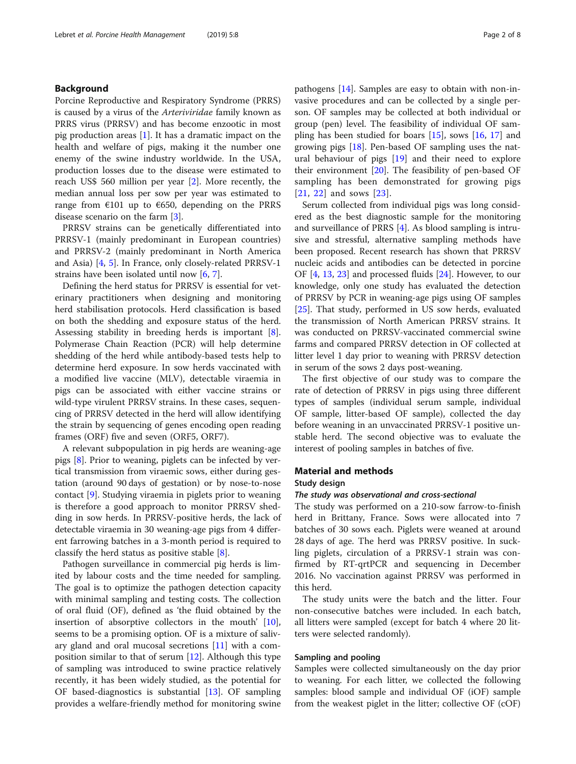# Background

Porcine Reproductive and Respiratory Syndrome (PRRS) is caused by a virus of the Arteriviridae family known as PRRS virus (PRRSV) and has become enzootic in most pig production areas [\[1](#page-7-0)]. It has a dramatic impact on the health and welfare of pigs, making it the number one enemy of the swine industry worldwide. In the USA, production losses due to the disease were estimated to reach US\$ 560 million per year [[2\]](#page-7-0). More recently, the median annual loss per sow per year was estimated to range from  $E101$  up to  $E650$ , depending on the PRRS disease scenario on the farm [\[3](#page-7-0)].

PRRSV strains can be genetically differentiated into PRRSV-1 (mainly predominant in European countries) and PRRSV-2 (mainly predominant in North America and Asia) [\[4](#page-7-0), [5](#page-7-0)]. In France, only closely-related PRRSV-1 strains have been isolated until now [[6,](#page-7-0) [7\]](#page-7-0).

Defining the herd status for PRRSV is essential for veterinary practitioners when designing and monitoring herd stabilisation protocols. Herd classification is based on both the shedding and exposure status of the herd. Assessing stability in breeding herds is important [\[8](#page-7-0)]. Polymerase Chain Reaction (PCR) will help determine shedding of the herd while antibody-based tests help to determine herd exposure. In sow herds vaccinated with a modified live vaccine (MLV), detectable viraemia in pigs can be associated with either vaccine strains or wild-type virulent PRRSV strains. In these cases, sequencing of PRRSV detected in the herd will allow identifying the strain by sequencing of genes encoding open reading frames (ORF) five and seven (ORF5, ORF7).

A relevant subpopulation in pig herds are weaning-age pigs [\[8](#page-7-0)]. Prior to weaning, piglets can be infected by vertical transmission from viraemic sows, either during gestation (around 90 days of gestation) or by nose-to-nose contact [[9\]](#page-7-0). Studying viraemia in piglets prior to weaning is therefore a good approach to monitor PRRSV shedding in sow herds. In PRRSV-positive herds, the lack of detectable viraemia in 30 weaning-age pigs from 4 different farrowing batches in a 3-month period is required to classify the herd status as positive stable [\[8](#page-7-0)].

Pathogen surveillance in commercial pig herds is limited by labour costs and the time needed for sampling. The goal is to optimize the pathogen detection capacity with minimal sampling and testing costs. The collection of oral fluid (OF), defined as 'the fluid obtained by the insertion of absorptive collectors in the mouth' [\[10](#page-7-0)], seems to be a promising option. OF is a mixture of salivary gland and oral mucosal secretions [[11](#page-7-0)] with a composition similar to that of serum [\[12\]](#page-7-0). Although this type of sampling was introduced to swine practice relatively recently, it has been widely studied, as the potential for OF based-diagnostics is substantial [\[13](#page-7-0)]. OF sampling provides a welfare-friendly method for monitoring swine pathogens [[14\]](#page-7-0). Samples are easy to obtain with non-invasive procedures and can be collected by a single person. OF samples may be collected at both individual or group (pen) level. The feasibility of individual OF sampling has been studied for boars [\[15](#page-7-0)], sows [\[16](#page-7-0), [17\]](#page-7-0) and growing pigs [\[18](#page-7-0)]. Pen-based OF sampling uses the natural behaviour of pigs [\[19](#page-7-0)] and their need to explore their environment [\[20\]](#page-7-0). The feasibility of pen-based OF sampling has been demonstrated for growing pigs [[21](#page-7-0), [22\]](#page-7-0) and sows [[23](#page-7-0)].

Serum collected from individual pigs was long considered as the best diagnostic sample for the monitoring and surveillance of PRRS [\[4](#page-7-0)]. As blood sampling is intrusive and stressful, alternative sampling methods have been proposed. Recent research has shown that PRRSV nucleic acids and antibodies can be detected in porcine OF [[4,](#page-7-0) [13,](#page-7-0) [23](#page-7-0)] and processed fluids [\[24\]](#page-7-0). However, to our knowledge, only one study has evaluated the detection of PRRSV by PCR in weaning-age pigs using OF samples [[25\]](#page-7-0). That study, performed in US sow herds, evaluated the transmission of North American PRRSV strains. It was conducted on PRRSV-vaccinated commercial swine farms and compared PRRSV detection in OF collected at litter level 1 day prior to weaning with PRRSV detection in serum of the sows 2 days post-weaning.

The first objective of our study was to compare the rate of detection of PRRSV in pigs using three different types of samples (individual serum sample, individual OF sample, litter-based OF sample), collected the day before weaning in an unvaccinated PRRSV-1 positive unstable herd. The second objective was to evaluate the interest of pooling samples in batches of five.

# Material and methods

### Study design

# The study was observational and cross-sectional

The study was performed on a 210-sow farrow-to-finish herd in Brittany, France. Sows were allocated into 7 batches of 30 sows each. Piglets were weaned at around 28 days of age. The herd was PRRSV positive. In suckling piglets, circulation of a PRRSV-1 strain was confirmed by RT-qrtPCR and sequencing in December 2016. No vaccination against PRRSV was performed in this herd.

The study units were the batch and the litter. Four non-consecutive batches were included. In each batch, all litters were sampled (except for batch 4 where 20 litters were selected randomly).

## Sampling and pooling

Samples were collected simultaneously on the day prior to weaning. For each litter, we collected the following samples: blood sample and individual OF (iOF) sample from the weakest piglet in the litter; collective OF (cOF)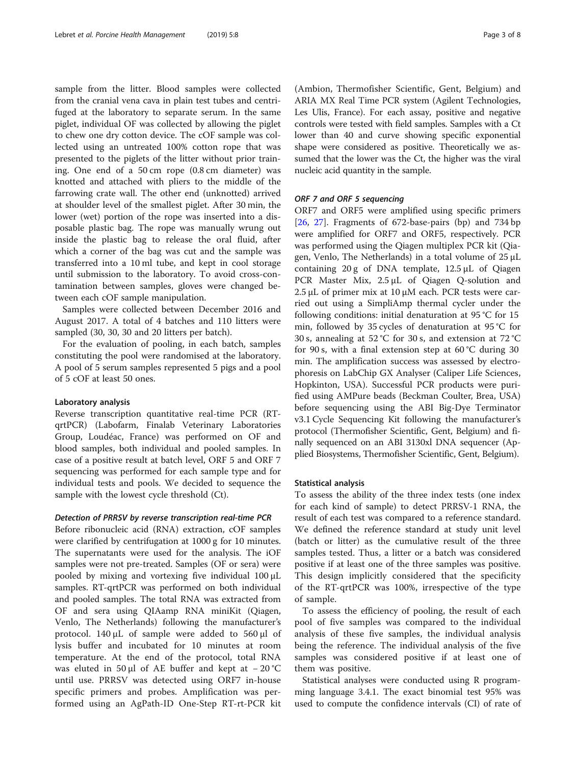sample from the litter. Blood samples were collected from the cranial vena cava in plain test tubes and centrifuged at the laboratory to separate serum. In the same piglet, individual OF was collected by allowing the piglet to chew one dry cotton device. The cOF sample was collected using an untreated 100% cotton rope that was presented to the piglets of the litter without prior training. One end of a 50 cm rope (0.8 cm diameter) was knotted and attached with pliers to the middle of the farrowing crate wall. The other end (unknotted) arrived at shoulder level of the smallest piglet. After 30 min, the lower (wet) portion of the rope was inserted into a disposable plastic bag. The rope was manually wrung out inside the plastic bag to release the oral fluid, after which a corner of the bag was cut and the sample was transferred into a 10 ml tube, and kept in cool storage until submission to the laboratory. To avoid cross-contamination between samples, gloves were changed between each cOF sample manipulation.

Samples were collected between December 2016 and August 2017. A total of 4 batches and 110 litters were sampled (30, 30, 30 and 20 litters per batch).

For the evaluation of pooling, in each batch, samples constituting the pool were randomised at the laboratory. A pool of 5 serum samples represented 5 pigs and a pool of 5 cOF at least 50 ones.

# Laboratory analysis

Reverse transcription quantitative real-time PCR (RTqrtPCR) (Labofarm, Finalab Veterinary Laboratories Group, Loudéac, France) was performed on OF and blood samples, both individual and pooled samples. In case of a positive result at batch level, ORF 5 and ORF 7 sequencing was performed for each sample type and for individual tests and pools. We decided to sequence the sample with the lowest cycle threshold (Ct).

#### Detection of PRRSV by reverse transcription real-time PCR

Before ribonucleic acid (RNA) extraction, cOF samples were clarified by centrifugation at 1000 g for 10 minutes. The supernatants were used for the analysis. The iOF samples were not pre-treated. Samples (OF or sera) were pooled by mixing and vortexing five individual 100 μL samples. RT-qrtPCR was performed on both individual and pooled samples. The total RNA was extracted from OF and sera using QIAamp RNA miniKit (Qiagen, Venlo, The Netherlands) following the manufacturer's protocol. 140 μL of sample were added to 560 μl of lysis buffer and incubated for 10 minutes at room temperature. At the end of the protocol, total RNA was eluted in 50 µl of AE buffer and kept at  $-20$  °C until use. PRRSV was detected using ORF7 in-house specific primers and probes. Amplification was performed using an AgPath-ID One-Step RT-rt-PCR kit

(Ambion, Thermofisher Scientific, Gent, Belgium) and ARIA MX Real Time PCR system (Agilent Technologies, Les Ulis, France). For each assay, positive and negative controls were tested with field samples. Samples with a Ct lower than 40 and curve showing specific exponential shape were considered as positive. Theoretically we assumed that the lower was the Ct, the higher was the viral nucleic acid quantity in the sample.

# ORF 7 and ORF 5 sequencing

ORF7 and ORF5 were amplified using specific primers [[26,](#page-7-0) [27\]](#page-7-0). Fragments of 672-base-pairs (bp) and 734 bp were amplified for ORF7 and ORF5, respectively. PCR was performed using the Qiagen multiplex PCR kit (Qiagen, Venlo, The Netherlands) in a total volume of 25 μL containing 20 g of DNA template, 12.5 μL of Qiagen PCR Master Mix, 2.5 μL of Qiagen Q-solution and  $2.5 \mu L$  of primer mix at 10  $\mu$ M each. PCR tests were carried out using a SimpliAmp thermal cycler under the following conditions: initial denaturation at 95 °C for 15 min, followed by 35 cycles of denaturation at 95 °C for 30 s, annealing at 52 °C for 30 s, and extension at 72 °C for 90 s, with a final extension step at  $60^{\circ}$ C during 30 min. The amplification success was assessed by electrophoresis on LabChip GX Analyser (Caliper Life Sciences, Hopkinton, USA). Successful PCR products were purified using AMPure beads (Beckman Coulter, Brea, USA) before sequencing using the ABI Big-Dye Terminator v3.1 Cycle Sequencing Kit following the manufacturer's protocol (Thermofisher Scientific, Gent, Belgium) and finally sequenced on an ABI 3130xl DNA sequencer (Applied Biosystems, Thermofisher Scientific, Gent, Belgium).

### Statistical analysis

To assess the ability of the three index tests (one index for each kind of sample) to detect PRRSV-1 RNA, the result of each test was compared to a reference standard. We defined the reference standard at study unit level (batch or litter) as the cumulative result of the three samples tested. Thus, a litter or a batch was considered positive if at least one of the three samples was positive. This design implicitly considered that the specificity of the RT-qrtPCR was 100%, irrespective of the type of sample.

To assess the efficiency of pooling, the result of each pool of five samples was compared to the individual analysis of these five samples, the individual analysis being the reference. The individual analysis of the five samples was considered positive if at least one of them was positive.

Statistical analyses were conducted using R programming language 3.4.1. The exact binomial test 95% was used to compute the confidence intervals (CI) of rate of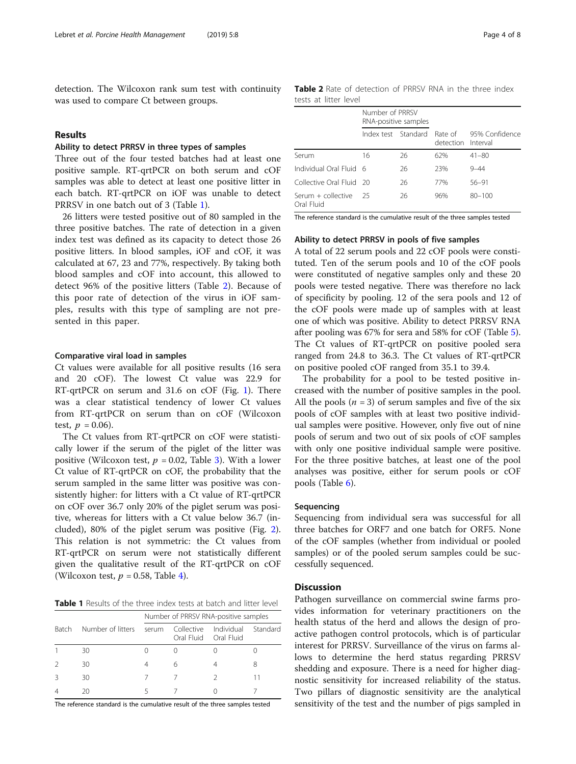detection. The Wilcoxon rank sum test with continuity was used to compare Ct between groups.

# Results

# Ability to detect PRRSV in three types of samples

Three out of the four tested batches had at least one positive sample. RT-qrtPCR on both serum and cOF samples was able to detect at least one positive litter in each batch. RT-qrtPCR on iOF was unable to detect PRRSV in one batch out of 3 (Table 1).

26 litters were tested positive out of 80 sampled in the three positive batches. The rate of detection in a given index test was defined as its capacity to detect those 26 positive litters. In blood samples, iOF and cOF, it was calculated at 67, 23 and 77%, respectively. By taking both blood samples and cOF into account, this allowed to detect 96% of the positive litters (Table 2). Because of this poor rate of detection of the virus in iOF samples, results with this type of sampling are not presented in this paper.

#### Comparative viral load in samples

Ct values were available for all positive results (16 sera and 20 cOF). The lowest Ct value was 22.9 for RT-qrtPCR on serum and 31.6 on cOF (Fig. [1](#page-4-0)). There was a clear statistical tendency of lower Ct values from RT-qrtPCR on serum than on cOF (Wilcoxon test,  $p = 0.06$ ).

The Ct values from RT-qrtPCR on cOF were statistically lower if the serum of the piglet of the litter was positive (Wilcoxon test,  $p = 0.02$ , Table [3\)](#page-4-0). With a lower Ct value of RT-qrtPCR on cOF, the probability that the serum sampled in the same litter was positive was consistently higher: for litters with a Ct value of RT-qrtPCR on cOF over 36.7 only 20% of the piglet serum was positive, whereas for litters with a Ct value below 36.7 (included), 80% of the piglet serum was positive (Fig. [2](#page-5-0)). This relation is not symmetric: the Ct values from RT-qrtPCR on serum were not statistically different given the qualitative result of the RT-qrtPCR on cOF (Wilcoxon test,  $p = 0.58$ , Table [4\)](#page-5-0).

Table 1 Results of the three index tests at batch and litter level

|              |                   | Number of PRRSV RNA-positive samples |            |                                     |          |  |  |
|--------------|-------------------|--------------------------------------|------------|-------------------------------------|----------|--|--|
| <b>Batch</b> | Number of litters | serum                                | Collective | Individual<br>Oral Fluid Oral Fluid | Standard |  |  |
|              | 30                |                                      |            |                                     |          |  |  |
|              | 30                |                                      | 6          |                                     | 8        |  |  |
|              | 30                |                                      |            |                                     |          |  |  |
|              | 20                |                                      |            |                                     |          |  |  |

The reference standard is the cumulative result of the three samples tested

Table 2 Rate of detection of PRRSV RNA in the three index tests at litter level

|                                    | Number of PRRSV<br>RNA-positive samples |    |                               |                |  |
|------------------------------------|-----------------------------------------|----|-------------------------------|----------------|--|
|                                    | Index test Standard                     |    | Rate of<br>detection Interval | 95% Confidence |  |
| Serum                              | 16                                      | 26 | 62%                           | $41 - 80$      |  |
| Individual Oral Fluid 6            |                                         | 26 | 23%                           | $9 - 44$       |  |
| Collective Oral Fluid 20           |                                         | 26 | 77%                           | $56 - 91$      |  |
| Serum $+$ collective<br>Oral Fluid | 25                                      | 26 | 96%                           | $80 - 100$     |  |

The reference standard is the cumulative result of the three samples tested

# Ability to detect PRRSV in pools of five samples

A total of 22 serum pools and 22 cOF pools were constituted. Ten of the serum pools and 10 of the cOF pools were constituted of negative samples only and these 20 pools were tested negative. There was therefore no lack of specificity by pooling. 12 of the sera pools and 12 of the cOF pools were made up of samples with at least one of which was positive. Ability to detect PRRSV RNA after pooling was 67% for sera and 58% for cOF (Table [5](#page-6-0)). The Ct values of RT-qrtPCR on positive pooled sera ranged from 24.8 to 36.3. The Ct values of RT-qrtPCR on positive pooled cOF ranged from 35.1 to 39.4.

The probability for a pool to be tested positive increased with the number of positive samples in the pool. All the pools  $(n = 3)$  of serum samples and five of the six pools of cOF samples with at least two positive individual samples were positive. However, only five out of nine pools of serum and two out of six pools of cOF samples with only one positive individual sample were positive. For the three positive batches, at least one of the pool analyses was positive, either for serum pools or cOF pools (Table [6\)](#page-6-0).

# Sequencing

Sequencing from individual sera was successful for all three batches for ORF7 and one batch for ORF5. None of the cOF samples (whether from individual or pooled samples) or of the pooled serum samples could be successfully sequenced.

# **Discussion**

Pathogen surveillance on commercial swine farms provides information for veterinary practitioners on the health status of the herd and allows the design of proactive pathogen control protocols, which is of particular interest for PRRSV. Surveillance of the virus on farms allows to determine the herd status regarding PRRSV shedding and exposure. There is a need for higher diagnostic sensitivity for increased reliability of the status. Two pillars of diagnostic sensitivity are the analytical sensitivity of the test and the number of pigs sampled in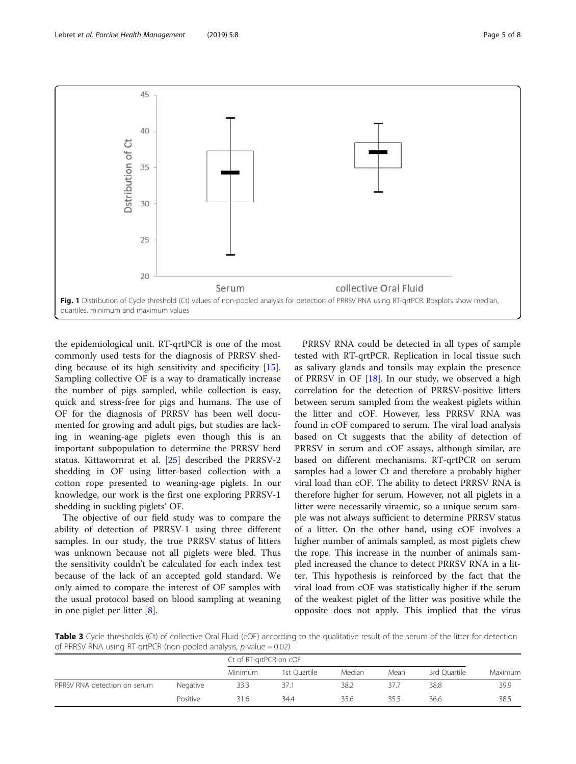<span id="page-4-0"></span>

the epidemiological unit. RT-qrtPCR is one of the most commonly used tests for the diagnosis of PRRSV shedding because of its high sensitivity and specificity [\[15](#page-7-0)]. Sampling collective OF is a way to dramatically increase the number of pigs sampled, while collection is easy, quick and stress-free for pigs and humans. The use of OF for the diagnosis of PRRSV has been well documented for growing and adult pigs, but studies are lacking in weaning-age piglets even though this is an important subpopulation to determine the PRRSV herd status. Kittawornrat et al. [[25\]](#page-7-0) described the PRRSV-2 shedding in OF using litter-based collection with a cotton rope presented to weaning-age piglets. In our knowledge, our work is the first one exploring PRRSV-1 shedding in suckling piglets' OF.

The objective of our field study was to compare the ability of detection of PRRSV-1 using three different samples. In our study, the true PRRSV status of litters was unknown because not all piglets were bled. Thus the sensitivity couldn't be calculated for each index test because of the lack of an accepted gold standard. We only aimed to compare the interest of OF samples with the usual protocol based on blood sampling at weaning in one piglet per litter [[8\]](#page-7-0).

PRRSV RNA could be detected in all types of sample tested with RT-qrtPCR. Replication in local tissue such as salivary glands and tonsils may explain the presence of PRRSV in OF [[18\]](#page-7-0). In our study, we observed a high correlation for the detection of PRRSV-positive litters between serum sampled from the weakest piglets within the litter and cOF. However, less PRRSV RNA was found in cOF compared to serum. The viral load analysis based on Ct suggests that the ability of detection of PRRSV in serum and cOF assays, although similar, are based on different mechanisms. RT-qrtPCR on serum samples had a lower Ct and therefore a probably higher viral load than cOF. The ability to detect PRRSV RNA is therefore higher for serum. However, not all piglets in a litter were necessarily viraemic, so a unique serum sample was not always sufficient to determine PRRSV status of a litter. On the other hand, using cOF involves a higher number of animals sampled, as most piglets chew the rope. This increase in the number of animals sampled increased the chance to detect PRRSV RNA in a litter. This hypothesis is reinforced by the fact that the viral load from cOF was statistically higher if the serum of the weakest piglet of the litter was positive while the opposite does not apply. This implied that the virus

Table 3 Cycle thresholds (Ct) of collective Oral Fluid (cOF) according to the qualitative result of the serum of the litter for detection of PRRSV RNA using RT-qrtPCR (non-pooled analysis, p-value = 0.02)

|                              |          | Ct of RT-grtPCR on cOF |              |        |      |              |         |
|------------------------------|----------|------------------------|--------------|--------|------|--------------|---------|
|                              |          | Minimum                | 1st Ouartile | Median | Mean | 3rd Quartile | Maximum |
| PRRSV RNA detection on serum | Negative | 33.3                   | 37.1         | 38.2   | 37.7 | 38.8         | 39.9    |
|                              | Positive | 31.6                   | 34.4         | 35.6   | 35.5 | 36.6         | 38.5    |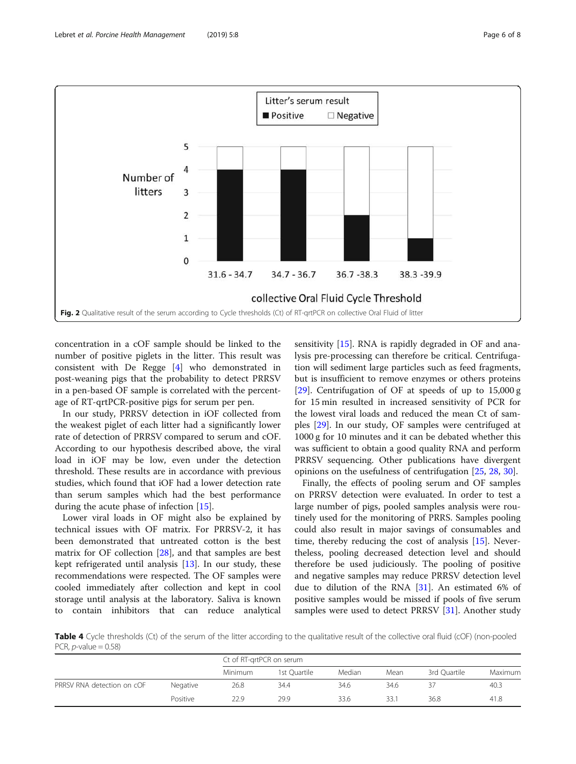<span id="page-5-0"></span>

concentration in a cOF sample should be linked to the number of positive piglets in the litter. This result was consistent with De Regge [\[4](#page-7-0)] who demonstrated in post-weaning pigs that the probability to detect PRRSV in a pen-based OF sample is correlated with the percentage of RT-qrtPCR-positive pigs for serum per pen.

In our study, PRRSV detection in iOF collected from the weakest piglet of each litter had a significantly lower rate of detection of PRRSV compared to serum and cOF. According to our hypothesis described above, the viral load in iOF may be low, even under the detection threshold. These results are in accordance with previous studies, which found that iOF had a lower detection rate than serum samples which had the best performance during the acute phase of infection [\[15\]](#page-7-0).

Lower viral loads in OF might also be explained by technical issues with OF matrix. For PRRSV-2, it has been demonstrated that untreated cotton is the best matrix for OF collection [[28\]](#page-7-0), and that samples are best kept refrigerated until analysis [\[13](#page-7-0)]. In our study, these recommendations were respected. The OF samples were cooled immediately after collection and kept in cool storage until analysis at the laboratory. Saliva is known to contain inhibitors that can reduce analytical sensitivity [\[15](#page-7-0)]. RNA is rapidly degraded in OF and analysis pre-processing can therefore be critical. Centrifugation will sediment large particles such as feed fragments, but is insufficient to remove enzymes or others proteins [[29\]](#page-7-0). Centrifugation of OF at speeds of up to 15,000 g for 15 min resulted in increased sensitivity of PCR for the lowest viral loads and reduced the mean Ct of samples [[29](#page-7-0)]. In our study, OF samples were centrifuged at 1000 g for 10 minutes and it can be debated whether this was sufficient to obtain a good quality RNA and perform PRRSV sequencing. Other publications have divergent opinions on the usefulness of centrifugation [[25,](#page-7-0) [28,](#page-7-0) [30\]](#page-7-0).

Finally, the effects of pooling serum and OF samples on PRRSV detection were evaluated. In order to test a large number of pigs, pooled samples analysis were routinely used for the monitoring of PRRS. Samples pooling could also result in major savings of consumables and time, thereby reducing the cost of analysis [\[15](#page-7-0)]. Nevertheless, pooling decreased detection level and should therefore be used judiciously. The pooling of positive and negative samples may reduce PRRSV detection level due to dilution of the RNA [[31\]](#page-7-0). An estimated 6% of positive samples would be missed if pools of five serum samples were used to detect PRRSV [[31\]](#page-7-0). Another study

Table 4 Cycle thresholds (Ct) of the serum of the litter according to the qualitative result of the collective oral fluid (cOF) (non-pooled PCR,  $p$ -value = 0.58)

|                            |          | Ct of RT-grtPCR on serum |              |        |      |              |                |
|----------------------------|----------|--------------------------|--------------|--------|------|--------------|----------------|
|                            |          | <b>Minimum</b>           | 1st Ouartile | Median | Mean | 3rd Ouartile | <b>Maximum</b> |
| PRRSV RNA detection on cOF | Negative | 26.8                     | 34.4         | 34.6   | 34.6 |              | 40.3           |
|                            | Positive | 22.9                     | 29.9         | 33.6   | 33.1 | 36.8         | 41.8           |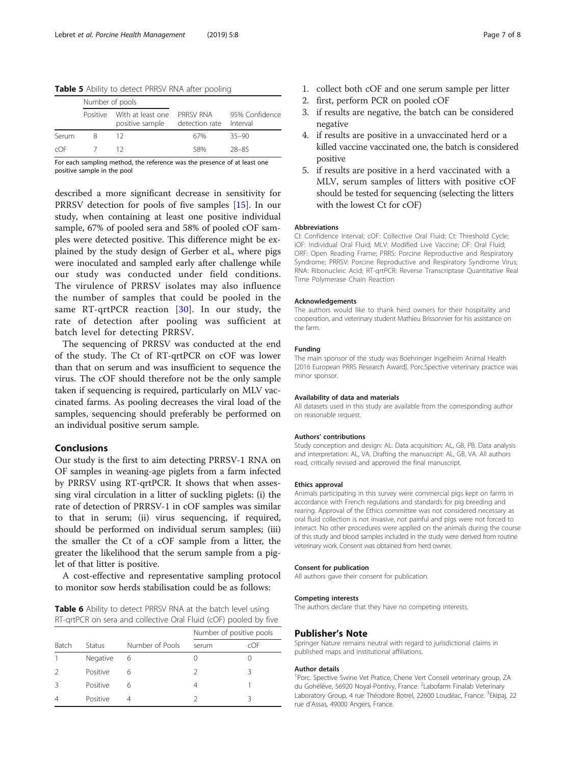<span id="page-6-0"></span>Table 5 Ability to detect PRRSV RNA after pooling

|       | Number of pools |                                               |                                      |                |
|-------|-----------------|-----------------------------------------------|--------------------------------------|----------------|
|       |                 | Positive With at least one<br>positive sample | PRRSV RNA<br>detection rate Interval | 95% Confidence |
| Serum | 8               |                                               | 67%                                  | $35 - 90$      |
| COF   |                 |                                               | 58%                                  | 28-85          |

For each sampling method, the reference was the presence of at least one positive sample in the pool

described a more significant decrease in sensitivity for PRRSV detection for pools of five samples [\[15](#page-7-0)]. In our study, when containing at least one positive individual sample, 67% of pooled sera and 58% of pooled cOF samples were detected positive. This difference might be explained by the study design of Gerber et al., where pigs were inoculated and sampled early after challenge while our study was conducted under field conditions. The virulence of PRRSV isolates may also influence the number of samples that could be pooled in the same RT-qrtPCR reaction [[30](#page-7-0)]. In our study, the rate of detection after pooling was sufficient at batch level for detecting PRRSV.

The sequencing of PRRSV was conducted at the end of the study. The Ct of RT-qrtPCR on cOF was lower than that on serum and was insufficient to sequence the virus. The cOF should therefore not be the only sample taken if sequencing is required, particularly on MLV vaccinated farms. As pooling decreases the viral load of the samples, sequencing should preferably be performed on an individual positive serum sample.

# Conclusions

Our study is the first to aim detecting PRRSV-1 RNA on OF samples in weaning-age piglets from a farm infected by PRRSV using RT-qrtPCR. It shows that when assessing viral circulation in a litter of suckling piglets: (i) the rate of detection of PRRSV-1 in cOF samples was similar to that in serum; (ii) virus sequencing, if required, should be performed on individual serum samples; (iii) the smaller the Ct of a cOF sample from a litter, the greater the likelihood that the serum sample from a piglet of that litter is positive.

A cost-effective and representative sampling protocol to monitor sow herds stabilisation could be as follows:

| Table 6 Ability to detect PRRSV RNA at the batch level using     |  |
|------------------------------------------------------------------|--|
| RT-qrtPCR on sera and collective Oral Fluid (cOF) pooled by five |  |

|              |          |                 | Number of positive pools |     |  |
|--------------|----------|-----------------|--------------------------|-----|--|
| <b>Batch</b> | Status   | Number of Pools | serum                    | cOF |  |
|              | Negative | 6               | $\left( \right)$         |     |  |
|              | Positive | 6               |                          | ર   |  |
|              | Positive | 6               | 4                        |     |  |
|              | Positive |                 |                          | ς   |  |

- 1. collect both cOF and one serum sample per litter
- 2. first, perform PCR on pooled cOF
- 3. if results are negative, the batch can be considered negative
- 4. if results are positive in a unvaccinated herd or a killed vaccine vaccinated one, the batch is considered positive
- 5. if results are positive in a herd vaccinated with a MLV, serum samples of litters with positive cOF should be tested for sequencing (selecting the litters with the lowest Ct for cOF)

#### Abbreviations

CI: Confidence Interval; cOF: Collective Oral Fluid; Ct: Threshold Cycle; iOF: Individual Oral Fluid; MLV: Modified Live Vaccine; OF: Oral Fluid; ORF: Open Reading Frame; PRRS: Porcine Reproductive and Respiratory Syndrome; PRRSV: Porcine Reproductive and Respiratory Syndrome Virus; RNA: Ribonucleic Acid; RT-qrtPCR: Reverse Transcriptase Quantitative Real Time Polymerase Chain Reaction

#### Acknowledgements

The authors would like to thank herd owners for their hospitality and cooperation, and veterinary student Mathieu Brissonnier for his assistance on the farm.

#### Funding

The main sponsor of the study was Boehringer Ingelheim Animal Health [2016 European PRRS Research Award]. Porc.Spective veterinary practice was minor sponsor.

#### Availability of data and materials

All datasets used in this study are available from the corresponding author on reasonable request.

#### Authors' contributions

Study conception and design: AL. Data acquisition: AL, GB, PB. Data analysis and interpretation: AL, VA. Drafting the manuscript: AL, GB, VA. All authors read, critically revised and approved the final manuscript.

#### Ethics approval

Animals participating in this survey were commercial pigs kept on farms in accordance with French regulations and standards for pig breeding and rearing. Approval of the Ethics committee was not considered necessary as oral fluid collection is not invasive, not painful and pigs were not forced to interact. No other procedures were applied on the animals during the course of this study and blood samples included in the study were derived from routine veterinary work. Consent was obtained from herd owner.

#### Consent for publication

All authors gave their consent for publication.

#### Competing interests

The authors declare that they have no competing interests.

# Publisher's Note

Springer Nature remains neutral with regard to jurisdictional claims in published maps and institutional affiliations.

#### Author details

<sup>1</sup>Porc. Spective Swine Vet Pratice, Chene Vert Conseil veterinary group, ZA du Gohélève, 56920 Noyal-Pontivy, France. <sup>2</sup>Labofarm Finalab Veterinary Laboratory Group, 4 rue Théodore Botrel, 22600 Loudéac, France. <sup>3</sup>Ekipaj, 22 rue d'Assas, 49000 Angers, France.